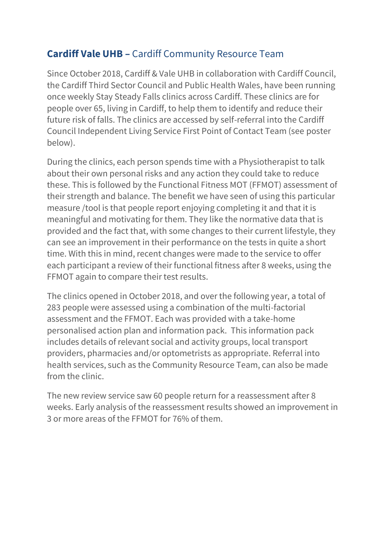## **Cardiff Vale UHB –** Cardiff Community Resource Team

Since October 2018, Cardiff & Vale UHB in collaboration with Cardiff Council, the Cardiff Third Sector Council and Public Health Wales, have been running once weekly Stay Steady Falls clinics across Cardiff. These clinics are for people over 65, living in Cardiff, to help them to identify and reduce their future risk of falls. The clinics are accessed by self-referral into the Cardiff Council Independent Living Service First Point of Contact Team (see poster below).

During the clinics, each person spends time with a Physiotherapist to talk about their own personal risks and any action they could take to reduce these. This is followed by the Functional Fitness MOT (FFMOT) assessment of their strength and balance. The benefit we have seen of using this particular measure /tool is that people report enjoying completing it and that it is meaningful and motivating for them. They like the normative data that is provided and the fact that, with some changes to their current lifestyle, they can see an improvement in their performance on the tests in quite a short time. With this in mind, recent changes were made to the service to offer each participant a review of their functional fitness after 8 weeks, using the FFMOT again to compare their test results.

The clinics opened in October 2018, and over the following year, a total of 283 people were assessed using a combination of the multi-factorial assessment and the FFMOT. Each was provided with a take-home personalised action plan and information pack. This information pack includes details of relevant social and activity groups, local transport providers, pharmacies and/or optometrists as appropriate. Referral into health services, such as the Community Resource Team, can also be made from the clinic.

The new review service saw 60 people return for a reassessment after 8 weeks. Early analysis of the reassessment results showed an improvement in 3 or more areas of the FFMOT for 76% of them.